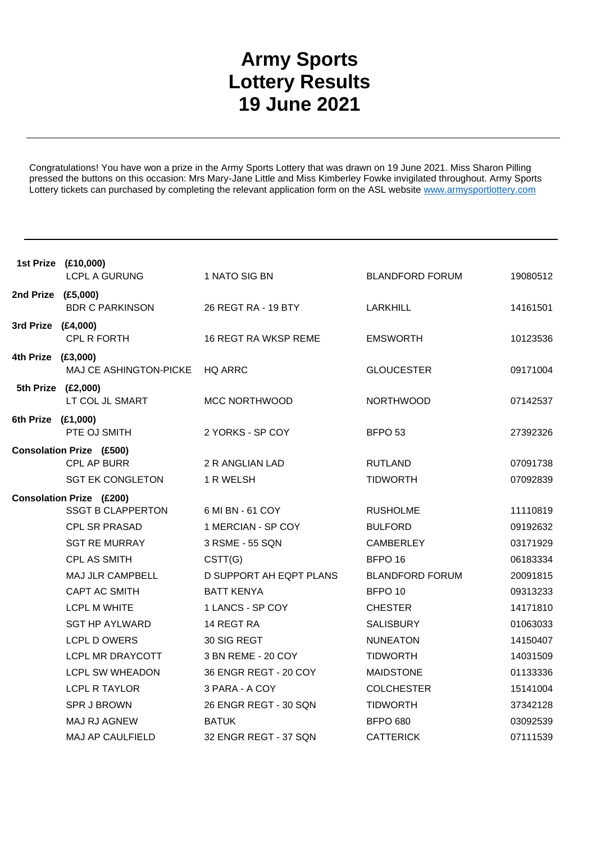## **Army Sports Lottery Results 19 June 2021**

Congratulations! You have won a prize in the Army Sports Lottery that was drawn on 19 June 2021. Miss Sharon Pilling pressed the buttons on this occasion: Mrs Mary-Jane Little and Miss Kimberley Fowke invigilated throughout. Army Sports Lottery tickets can purchased by completing the relevant application form on the ASL website www.armysportlottery.com

|                                 | 1st Prize (£10,000)<br><b>LCPL A GURUNG</b> | 1 NATO SIG BN           | <b>BLANDFORD FORUM</b> | 19080512 |  |
|---------------------------------|---------------------------------------------|-------------------------|------------------------|----------|--|
| 2nd Prize (£5,000)              | <b>BDR C PARKINSON</b>                      | 26 REGT RA - 19 BTY     | <b>LARKHILL</b>        | 14161501 |  |
| 3rd Prize (£4,000)              | CPL R FORTH                                 | 16 REGT RA WKSP REME    | <b>EMSWORTH</b>        | 10123536 |  |
| 4th Prize (£3,000)              | MAJ CE ASHINGTON-PICKE                      | <b>HQ ARRC</b>          | <b>GLOUCESTER</b>      | 09171004 |  |
| 5th Prize (£2,000)              | LT COL JL SMART                             | <b>MCC NORTHWOOD</b>    | <b>NORTHWOOD</b>       | 07142537 |  |
| 6th Prize (£1,000)              | PTE OJ SMITH                                | 2 YORKS - SP COY        | BFPO 53                | 27392326 |  |
| <b>Consolation Prize (£500)</b> |                                             |                         |                        |          |  |
|                                 | CPL AP BURR                                 | 2 R ANGLIAN LAD         | <b>RUTLAND</b>         | 07091738 |  |
|                                 | <b>SGT EK CONGLETON</b>                     | 1 R WELSH               | <b>TIDWORTH</b>        | 07092839 |  |
|                                 | <b>Consolation Prize (£200)</b>             |                         |                        |          |  |
|                                 | <b>SSGT B CLAPPERTON</b>                    | 6 MI BN - 61 COY        | <b>RUSHOLME</b>        | 11110819 |  |
|                                 | <b>CPL SR PRASAD</b>                        | 1 MERCIAN - SP COY      | <b>BULFORD</b>         | 09192632 |  |
|                                 | <b>SGT RE MURRAY</b>                        | 3 RSME - 55 SQN         | <b>CAMBERLEY</b>       | 03171929 |  |
|                                 | CPL AS SMITH                                | CSTT(G)                 | BFPO <sub>16</sub>     | 06183334 |  |
|                                 | MAJ JLR CAMPBELL                            | D SUPPORT AH EQPT PLANS | <b>BLANDFORD FORUM</b> | 20091815 |  |
|                                 | CAPT AC SMITH                               | <b>BATT KENYA</b>       | BFPO <sub>10</sub>     | 09313233 |  |
|                                 | LCPL M WHITE                                | 1 LANCS - SP COY        | <b>CHESTER</b>         | 14171810 |  |
|                                 | <b>SGT HP AYLWARD</b>                       | 14 REGT RA              | <b>SALISBURY</b>       | 01063033 |  |
|                                 | <b>LCPL D OWERS</b>                         | 30 SIG REGT             | <b>NUNEATON</b>        | 14150407 |  |
|                                 | LCPL MR DRAYCOTT                            | 3 BN REME - 20 COY      | <b>TIDWORTH</b>        | 14031509 |  |
|                                 | <b>LCPL SW WHEADON</b>                      | 36 ENGR REGT - 20 COY   | <b>MAIDSTONE</b>       | 01133336 |  |
|                                 | <b>LCPL R TAYLOR</b>                        | 3 PARA - A COY          | <b>COLCHESTER</b>      | 15141004 |  |
|                                 | <b>SPR J BROWN</b>                          | 26 ENGR REGT - 30 SQN   | <b>TIDWORTH</b>        | 37342128 |  |
|                                 | <b>MAJ RJ AGNEW</b>                         | <b>BATUK</b>            | <b>BFPO 680</b>        | 03092539 |  |
|                                 | MAJ AP CAULFIELD                            | 32 ENGR REGT - 37 SQN   | <b>CATTERICK</b>       | 07111539 |  |